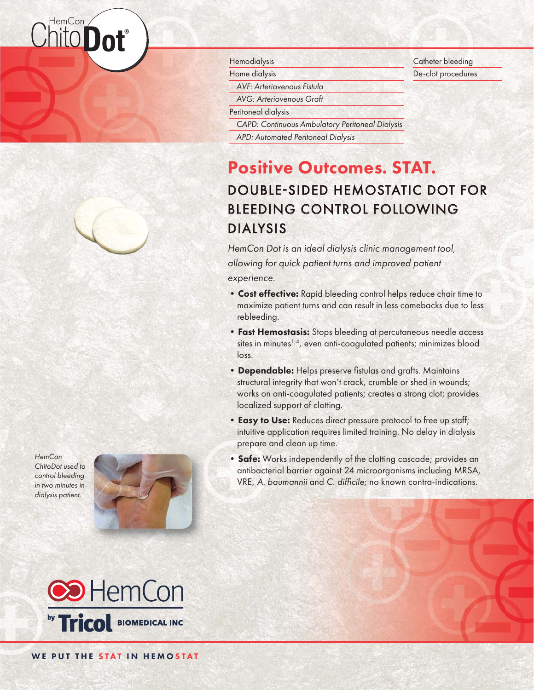# lemCon ®

*HemCon ChitoDot used to control bleeding in two minutes in dialysis patient.*





#### **Hemodialysis**

Home dialysis

*AVF: Arteriovenous Fistula*

*AVG: Arteriovenous Graft*

Peritoneal dialysis

*CAPD: Continuous Ambulatory Peritoneal Dialysis*

*APD: Automated Peritoneal Dialysis*

# Positive Outcomes. STAT. DOUBLE-SIDED HEMOSTATIC DOT FOR BLEEDING CONTROL FOLLOWING DIALYSIS

*HemCon Dotis an ideal dialysis clinic management tool, is*  allowing for quick patient turns and improved patient *experience. xperience.*

- Cost effective: Rapid bleeding control helps reduce chair time to maximize patient turns and can result in less comebacks due to less rebleeding.
- Fast Hemostasis: Stops bleeding at percutaneous needle access sites in minutes<sup>1-4</sup>, even anti-coagulated patients; minimizes blood loss.
- Dependable: Helps preserve fistulas and grafts. Maintains structural integrity that won't crack, crumble or shed in wounds; works on anti-coagulated patients; creates a strong clot; provides localized support of clotting.
- **Easy to Use:** Reduces direct pressure protocol to free up staff; intuitive application requires limited training. No delay in dialysis prepare and clean up time.
- Safe: Works independently of the clotting cascade; provides an antibacterial barrier against 24 microorganisms including MRSA, VRE, A. baumannii and C. difficile; no known contra-indications.

Catheter bleeding De-clot procedures